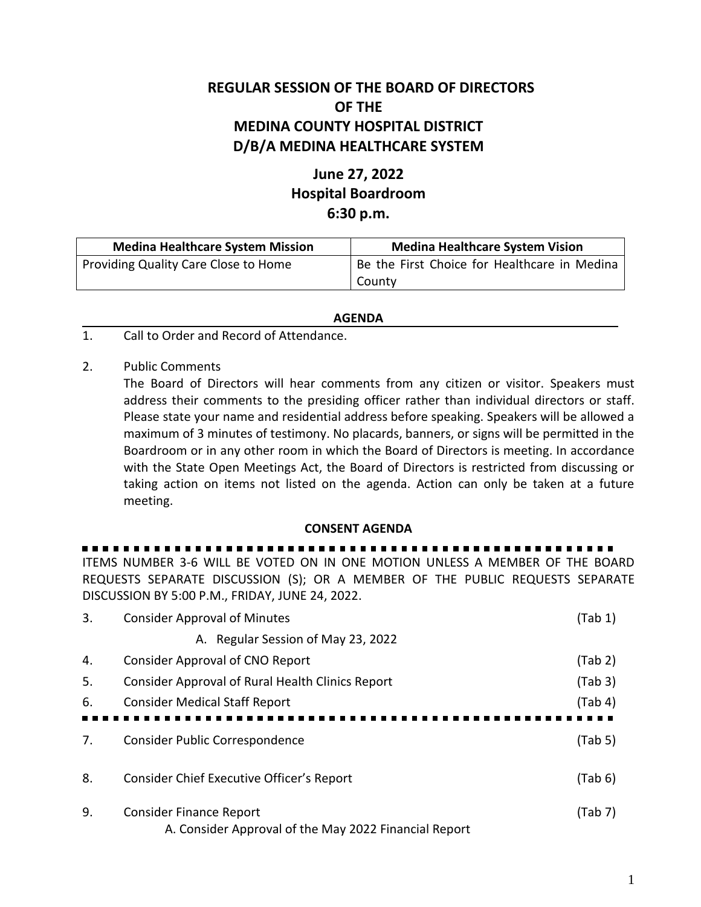## **REGULAR SESSION OF THE BOARD OF DIRECTORS OF THE MEDINA COUNTY HOSPITAL DISTRICT D/B/A MEDINA HEALTHCARE SYSTEM**

## **June 27, 2022 Hospital Boardroom 6:30 p.m.**

| <b>Medina Healthcare System Mission</b> | <b>Medina Healthcare System Vision</b>       |  |
|-----------------------------------------|----------------------------------------------|--|
| Providing Quality Care Close to Home    | Be the First Choice for Healthcare in Medina |  |
|                                         | County                                       |  |

## **AGENDA**

- 1. Call to Order and Record of Attendance.
- 2. Public Comments

The Board of Directors will hear comments from any citizen or visitor. Speakers must address their comments to the presiding officer rather than individual directors or staff. Please state your name and residential address before speaking. Speakers will be allowed a maximum of 3 minutes of testimony. No placards, banners, or signs will be permitted in the Boardroom or in any other room in which the Board of Directors is meeting. In accordance with the State Open Meetings Act, the Board of Directors is restricted from discussing or taking action on items not listed on the agenda. Action can only be taken at a future meeting.

## **CONSENT AGENDA**

ITEMS NUMBER 3-6 WILL BE VOTED ON IN ONE MOTION UNLESS A MEMBER OF THE BOARD REQUESTS SEPARATE DISCUSSION (S); OR A MEMBER OF THE PUBLIC REQUESTS SEPARATE DISCUSSION BY 5:00 P.M., FRIDAY, JUNE 24, 2022.

| 3. | <b>Consider Approval of Minutes</b>                   | (Tab 1) |
|----|-------------------------------------------------------|---------|
|    | A. Regular Session of May 23, 2022                    |         |
| 4. | <b>Consider Approval of CNO Report</b>                | (Tab 2) |
| 5. | Consider Approval of Rural Health Clinics Report      | (Tab 3) |
| 6. | <b>Consider Medical Staff Report</b>                  | (Tab 4) |
|    |                                                       |         |
| 7. | Consider Public Correspondence                        | (Tab 5) |
|    |                                                       |         |
| 8. | Consider Chief Executive Officer's Report             | (Tab 6) |
| 9. | <b>Consider Finance Report</b>                        | (Tab 7) |
|    | A. Consider Approval of the May 2022 Financial Report |         |